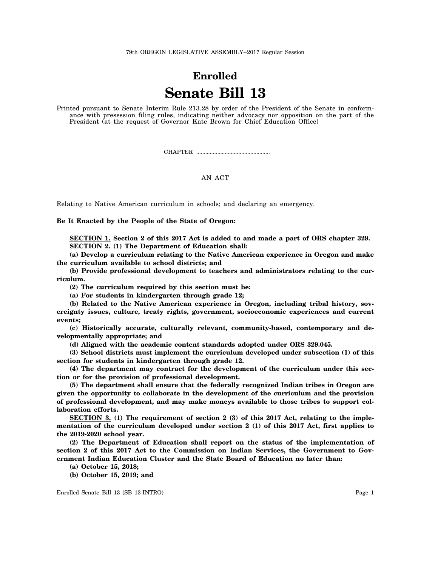79th OREGON LEGISLATIVE ASSEMBLY--2017 Regular Session

## **Enrolled Senate Bill 13**

Printed pursuant to Senate Interim Rule 213.28 by order of the President of the Senate in conformance with presession filing rules, indicating neither advocacy nor opposition on the part of the President (at the request of Governor Kate Brown for Chief Education Office)

CHAPTER .................................................

## AN ACT

Relating to Native American curriculum in schools; and declaring an emergency.

**Be It Enacted by the People of the State of Oregon:**

**SECTION 1. Section 2 of this 2017 Act is added to and made a part of ORS chapter 329. SECTION 2. (1) The Department of Education shall:**

**(a) Develop a curriculum relating to the Native American experience in Oregon and make the curriculum available to school districts; and**

**(b) Provide professional development to teachers and administrators relating to the curriculum.**

**(2) The curriculum required by this section must be:**

**(a) For students in kindergarten through grade 12;**

**(b) Related to the Native American experience in Oregon, including tribal history, sovereignty issues, culture, treaty rights, government, socioeconomic experiences and current events;**

**(c) Historically accurate, culturally relevant, community-based, contemporary and developmentally appropriate; and**

**(d) Aligned with the academic content standards adopted under ORS 329.045.**

**(3) School districts must implement the curriculum developed under subsection (1) of this section for students in kindergarten through grade 12.**

**(4) The department may contract for the development of the curriculum under this section or for the provision of professional development.**

**(5) The department shall ensure that the federally recognized Indian tribes in Oregon are given the opportunity to collaborate in the development of the curriculum and the provision of professional development, and may make moneys available to those tribes to support collaboration efforts.**

SECTION 3. (1) The requirement of section 2 (3) of this 2017 Act, relating to the imple**mentation of the curriculum developed under section 2 (1) of this 2017 Act, first applies to the 2019-2020 school year.**

**(2) The Department of Education shall report on the status of the implementation of section 2 of this 2017 Act to the Commission on Indian Services, the Government to Government Indian Education Cluster and the State Board of Education no later than:**

**(a) October 15, 2018;**

**(b) October 15, 2019; and**

Enrolled Senate Bill 13 (SB 13-INTRO) Page 1